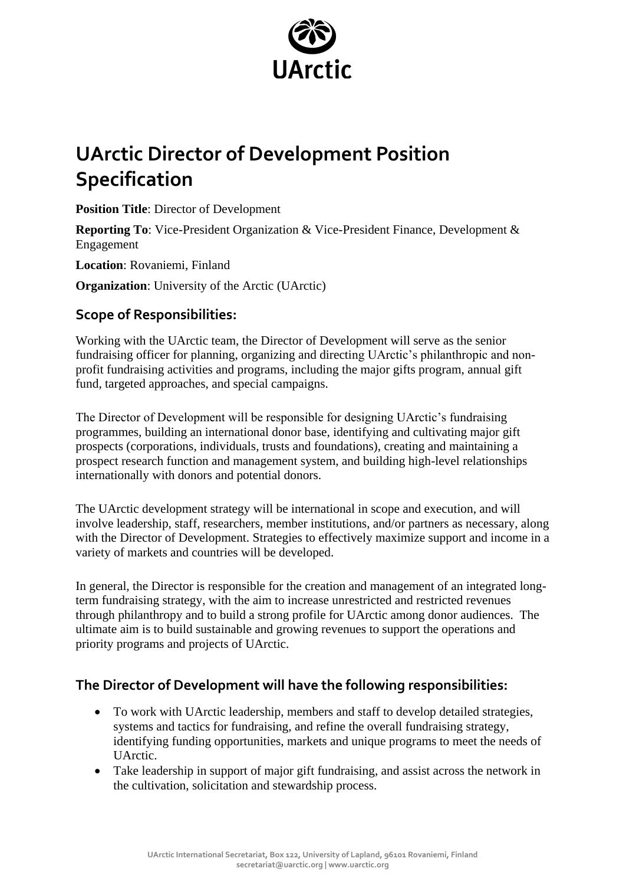

# **UArctic Director of Development Position Specification**

**Position Title**: Director of Development

**Reporting To**: Vice-President Organization & Vice-President Finance, Development & Engagement

**Location**: Rovaniemi, Finland

**Organization:** University of the Arctic (UArctic)

### **Scope of Responsibilities:**

Working with the UArctic team, the Director of Development will serve as the senior fundraising officer for planning, organizing and directing UArctic's philanthropic and nonprofit fundraising activities and programs, including the major gifts program, annual gift fund, targeted approaches, and special campaigns.

The Director of Development will be responsible for designing UArctic's fundraising programmes, building an international donor base, identifying and cultivating major gift prospects (corporations, individuals, trusts and foundations), creating and maintaining a prospect research function and management system, and building high-level relationships internationally with donors and potential donors.

The UArctic development strategy will be international in scope and execution, and will involve leadership, staff, researchers, member institutions, and/or partners as necessary, along with the Director of Development. Strategies to effectively maximize support and income in a variety of markets and countries will be developed.

In general, the Director is responsible for the creation and management of an integrated longterm fundraising strategy, with the aim to increase unrestricted and restricted revenues through philanthropy and to build a strong profile for UArctic among donor audiences. The ultimate aim is to build sustainable and growing revenues to support the operations and priority programs and projects of UArctic.

### **The Director of Development will have the following responsibilities:**

- To work with UArctic leadership, members and staff to develop detailed strategies, systems and tactics for fundraising, and refine the overall fundraising strategy, identifying funding opportunities, markets and unique programs to meet the needs of UArctic.
- Take leadership in support of major gift fundraising, and assist across the network in the cultivation, solicitation and stewardship process.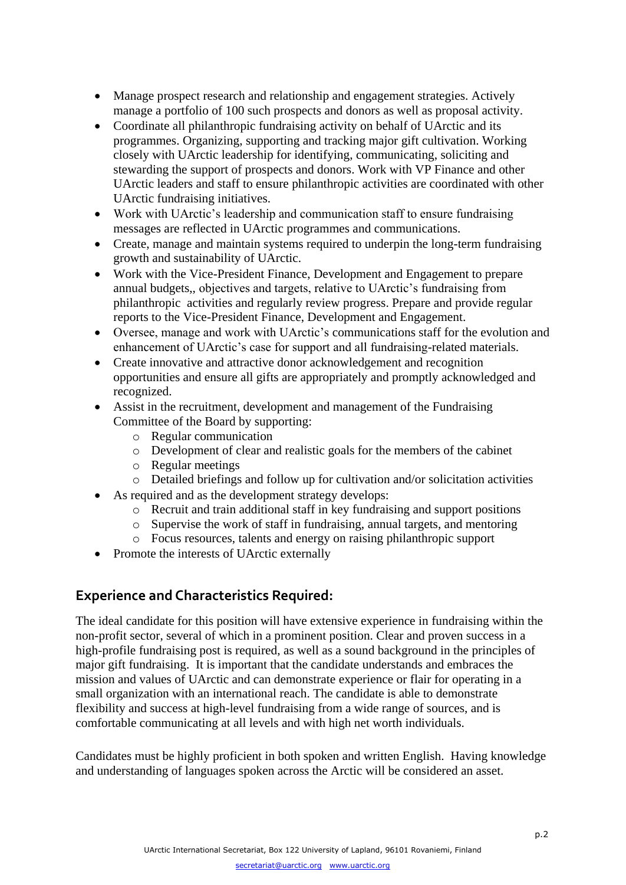- Manage prospect research and relationship and engagement strategies. Actively manage a portfolio of 100 such prospects and donors as well as proposal activity.
- Coordinate all philanthropic fundraising activity on behalf of UArctic and its programmes. Organizing, supporting and tracking major gift cultivation. Working closely with UArctic leadership for identifying, communicating, soliciting and stewarding the support of prospects and donors. Work with VP Finance and other UArctic leaders and staff to ensure philanthropic activities are coordinated with other UArctic fundraising initiatives.
- Work with UArctic's leadership and communication staff to ensure fundraising messages are reflected in UArctic programmes and communications.
- Create, manage and maintain systems required to underpin the long-term fundraising growth and sustainability of UArctic.
- Work with the Vice-President Finance, Development and Engagement to prepare annual budgets,, objectives and targets, relative to UArctic's fundraising from philanthropic activities and regularly review progress. Prepare and provide regular reports to the Vice-President Finance, Development and Engagement.
- Oversee, manage and work with UArctic's communications staff for the evolution and enhancement of UArctic's case for support and all fundraising-related materials.
- Create innovative and attractive donor acknowledgement and recognition opportunities and ensure all gifts are appropriately and promptly acknowledged and recognized.
- Assist in the recruitment, development and management of the Fundraising Committee of the Board by supporting:
	- o Regular communication
	- o Development of clear and realistic goals for the members of the cabinet
	- o Regular meetings
	- o Detailed briefings and follow up for cultivation and/or solicitation activities
- As required and as the development strategy develops:
	- o Recruit and train additional staff in key fundraising and support positions
	- o Supervise the work of staff in fundraising, annual targets, and mentoring
	- o Focus resources, talents and energy on raising philanthropic support
- Promote the interests of UArctic externally

### **Experience and Characteristics Required:**

The ideal candidate for this position will have extensive experience in fundraising within the non-profit sector, several of which in a prominent position. Clear and proven success in a high-profile fundraising post is required, as well as a sound background in the principles of major gift fundraising. It is important that the candidate understands and embraces the mission and values of UArctic and can demonstrate experience or flair for operating in a small organization with an international reach. The candidate is able to demonstrate flexibility and success at high-level fundraising from a wide range of sources, and is comfortable communicating at all levels and with high net worth individuals.

Candidates must be highly proficient in both spoken and written English. Having knowledge and understanding of languages spoken across the Arctic will be considered an asset.